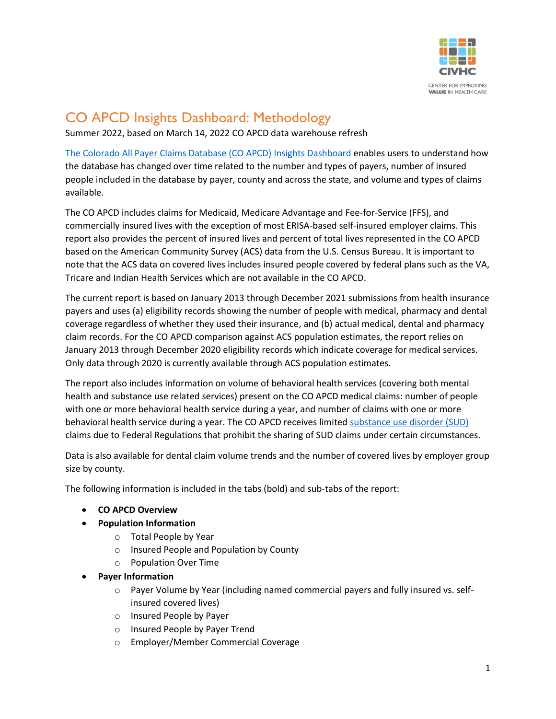

# CO APCD Insights Dashboard: Methodology

Summer 2022, based on March 14, 2022 CO APCD data warehouse refresh

[The Colorado All Payer Claims Database \(CO APCD\) Insights Dashboard](https://www.civhc.org/get-data/whats-in-the-co-apcd/) enables users to understand how the database has changed over time related to the number and types of payers, number of insured people included in the database by payer, county and across the state, and volume and types of claims available.

The CO APCD includes claims for Medicaid, Medicare Advantage and Fee-for-Service (FFS), and commercially insured lives with the exception of most ERISA-based self-insured employer claims. This report also provides the percent of insured lives and percent of total lives represented in the CO APCD based on the American Community Survey (ACS) data from the U.S. Census Bureau. It is important to note that the ACS data on covered lives includes insured people covered by federal plans such as the VA, Tricare and Indian Health Services which are not available in the CO APCD.

The current report is based on January 2013 through December 2021 submissions from health insurance payers and uses (a) eligibility records showing the number of people with medical, pharmacy and dental coverage regardless of whether they used their insurance, and (b) actual medical, dental and pharmacy claim records. For the CO APCD comparison against ACS population estimates, the report relies on January 2013 through December 2020 eligibility records which indicate coverage for medical services. Only data through 2020 is currently available through ACS population estimates.

The report also includes information on volume of behavioral health services (covering both mental health and substance use related services) present on the CO APCD medical claims: number of people with one or more behavioral health service during a year, and number of claims with one or more behavioral health service during a year. The CO APCD receives limited [substance use disorder \(SUD\)](https://www.civhc.org/2019/03/21/plaintalk-blog-why-the-co-apcd-does-not-have-substance-use-disorder-claims/) claims due to Federal Regulations that prohibit the sharing of SUD claims under certain circumstances.

Data is also available for dental claim volume trends and the number of covered lives by employer group size by county.

The following information is included in the tabs (bold) and sub-tabs of the report:

- **CO APCD Overview**
- **Population Information**
	- o Total People by Year
	- o Insured People and Population by County
	- o Population Over Time
- **Payer Information**
	- $\circ$  Payer Volume by Year (including named commercial payers and fully insured vs. selfinsured covered lives)
	- o Insured People by Payer
	- o Insured People by Payer Trend
	- o Employer/Member Commercial Coverage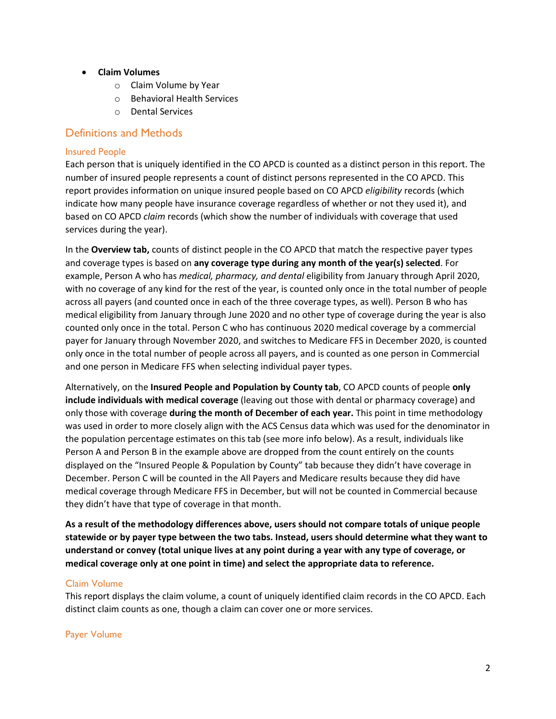- **Claim Volumes**
	- o Claim Volume by Year
	- o Behavioral Health Services
	- o Dental Services

### Definitions and Methods

#### Insured People

Each person that is uniquely identified in the CO APCD is counted as a distinct person in this report. The number of insured people represents a count of distinct persons represented in the CO APCD. This report provides information on unique insured people based on CO APCD *eligibility* records (which indicate how many people have insurance coverage regardless of whether or not they used it), and based on CO APCD *claim* records (which show the number of individuals with coverage that used services during the year).

In the **Overview tab,** counts of distinct people in the CO APCD that match the respective payer types and coverage types is based on **any coverage type during any month of the year(s) selected**. For example, Person A who has *medical, pharmacy, and dental* eligibility from January through April 2020, with no coverage of any kind for the rest of the year, is counted only once in the total number of people across all payers (and counted once in each of the three coverage types, as well). Person B who has medical eligibility from January through June 2020 and no other type of coverage during the year is also counted only once in the total. Person C who has continuous 2020 medical coverage by a commercial payer for January through November 2020, and switches to Medicare FFS in December 2020, is counted only once in the total number of people across all payers, and is counted as one person in Commercial and one person in Medicare FFS when selecting individual payer types.

Alternatively, on the **Insured People and Population by County tab**, CO APCD counts of people **only include individuals with medical coverage** (leaving out those with dental or pharmacy coverage) and only those with coverage **during the month of December of each year.** This point in time methodology was used in order to more closely align with the ACS Census data which was used for the denominator in the population percentage estimates on this tab (see more info below). As a result, individuals like Person A and Person B in the example above are dropped from the count entirely on the counts displayed on the "Insured People & Population by County" tab because they didn't have coverage in December. Person C will be counted in the All Payers and Medicare results because they did have medical coverage through Medicare FFS in December, but will not be counted in Commercial because they didn't have that type of coverage in that month.

**As a result of the methodology differences above, users should not compare totals of unique people statewide or by payer type between the two tabs. Instead, users should determine what they want to understand or convey (total unique lives at any point during a year with any type of coverage, or medical coverage only at one point in time) and select the appropriate data to reference.**

### Claim Volume

This report displays the claim volume, a count of uniquely identified claim records in the CO APCD. Each distinct claim counts as one, though a claim can cover one or more services.

#### Payer Volume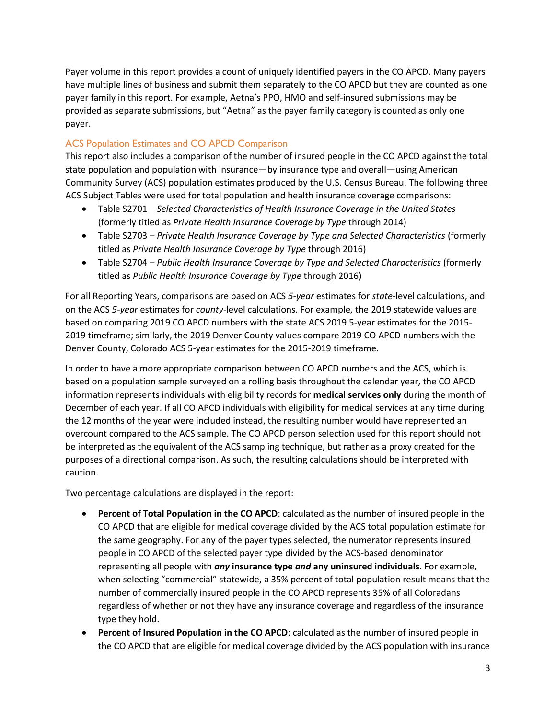Payer volume in this report provides a count of uniquely identified payers in the CO APCD. Many payers have multiple lines of business and submit them separately to the CO APCD but they are counted as one payer family in this report. For example, Aetna's PPO, HMO and self-insured submissions may be provided as separate submissions, but "Aetna" as the payer family category is counted as only one payer.

### ACS Population Estimates and CO APCD Comparison

This report also includes a comparison of the number of insured people in the CO APCD against the total state population and population with insurance—by insurance type and overall—using American Community Survey (ACS) population estimates produced by the U.S. Census Bureau. The following three ACS Subject Tables were used for total population and health insurance coverage comparisons:

- Table S2701 *Selected Characteristics of Health Insurance Coverage in the United States* (formerly titled as *Private Health Insurance Coverage by Type* through 2014)
- Table S2703 *Private Health Insurance Coverage by Type and Selected Characteristics* (formerly titled as *Private Health Insurance Coverage by Type* through 2016)
- Table S2704 *Public Health Insurance Coverage by Type and Selected Characteristics* (formerly titled as *Public Health Insurance Coverage by Type* through 2016)

For all Reporting Years, comparisons are based on ACS *5-year* estimates for *state*-level calculations, and on the ACS *5-year* estimates for *county*-level calculations. For example, the 2019 statewide values are based on comparing 2019 CO APCD numbers with the state ACS 2019 5-year estimates for the 2015- 2019 timeframe; similarly, the 2019 Denver County values compare 2019 CO APCD numbers with the Denver County, Colorado ACS 5-year estimates for the 2015-2019 timeframe.

In order to have a more appropriate comparison between CO APCD numbers and the ACS, which is based on a population sample surveyed on a rolling basis throughout the calendar year, the CO APCD information represents individuals with eligibility records for **medical services only** during the month of December of each year. If all CO APCD individuals with eligibility for medical services at any time during the 12 months of the year were included instead, the resulting number would have represented an overcount compared to the ACS sample. The CO APCD person selection used for this report should not be interpreted as the equivalent of the ACS sampling technique, but rather as a proxy created for the purposes of a directional comparison. As such, the resulting calculations should be interpreted with caution.

Two percentage calculations are displayed in the report:

- **Percent of Total Population in the CO APCD**: calculated as the number of insured people in the CO APCD that are eligible for medical coverage divided by the ACS total population estimate for the same geography. For any of the payer types selected, the numerator represents insured people in CO APCD of the selected payer type divided by the ACS-based denominator representing all people with *any* **insurance type** *and* **any uninsured individuals**. For example, when selecting "commercial" statewide, a 35% percent of total population result means that the number of commercially insured people in the CO APCD represents 35% of all Coloradans regardless of whether or not they have any insurance coverage and regardless of the insurance type they hold.
- **Percent of Insured Population in the CO APCD**: calculated as the number of insured people in the CO APCD that are eligible for medical coverage divided by the ACS population with insurance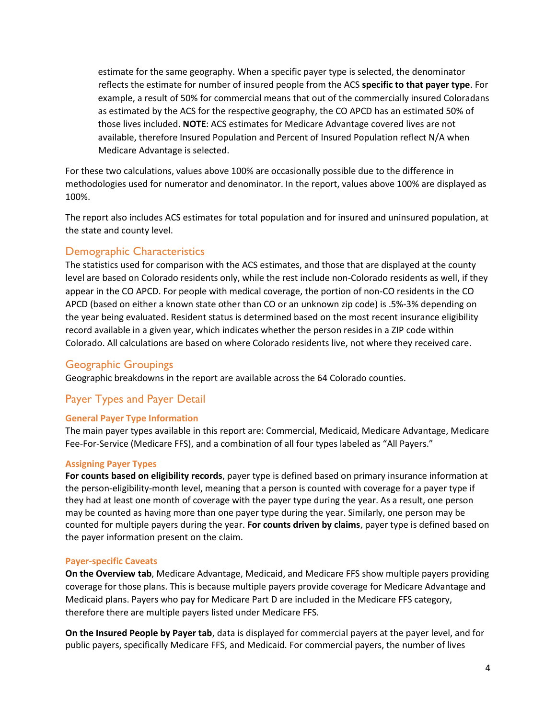estimate for the same geography. When a specific payer type is selected, the denominator reflects the estimate for number of insured people from the ACS **specific to that payer type**. For example, a result of 50% for commercial means that out of the commercially insured Coloradans as estimated by the ACS for the respective geography, the CO APCD has an estimated 50% of those lives included. **NOTE**: ACS estimates for Medicare Advantage covered lives are not available, therefore Insured Population and Percent of Insured Population reflect N/A when Medicare Advantage is selected.

For these two calculations, values above 100% are occasionally possible due to the difference in methodologies used for numerator and denominator. In the report, values above 100% are displayed as 100%.

The report also includes ACS estimates for total population and for insured and uninsured population, at the state and county level.

### Demographic Characteristics

The statistics used for comparison with the ACS estimates, and those that are displayed at the county level are based on Colorado residents only, while the rest include non-Colorado residents as well, if they appear in the CO APCD. For people with medical coverage, the portion of non-CO residents in the CO APCD (based on either a known state other than CO or an unknown zip code) is .5%-3% depending on the year being evaluated. Resident status is determined based on the most recent insurance eligibility record available in a given year, which indicates whether the person resides in a ZIP code within Colorado. All calculations are based on where Colorado residents live, not where they received care.

### Geographic Groupings

Geographic breakdowns in the report are available across the 64 Colorado counties.

# Payer Types and Payer Detail

#### **General Payer Type Information**

The main payer types available in this report are: Commercial, Medicaid, Medicare Advantage, Medicare Fee-For-Service (Medicare FFS), and a combination of all four types labeled as "All Payers."

#### **Assigning Payer Types**

**For counts based on eligibility records**, payer type is defined based on primary insurance information at the person-eligibility-month level, meaning that a person is counted with coverage for a payer type if they had at least one month of coverage with the payer type during the year. As a result, one person may be counted as having more than one payer type during the year. Similarly, one person may be counted for multiple payers during the year. **For counts driven by claims**, payer type is defined based on the payer information present on the claim.

#### **Payer-specific Caveats**

**On the Overview tab**, Medicare Advantage, Medicaid, and Medicare FFS show multiple payers providing coverage for those plans. This is because multiple payers provide coverage for Medicare Advantage and Medicaid plans. Payers who pay for Medicare Part D are included in the Medicare FFS category, therefore there are multiple payers listed under Medicare FFS.

**On the Insured People by Payer tab**, data is displayed for commercial payers at the payer level, and for public payers, specifically Medicare FFS, and Medicaid. For commercial payers, the number of lives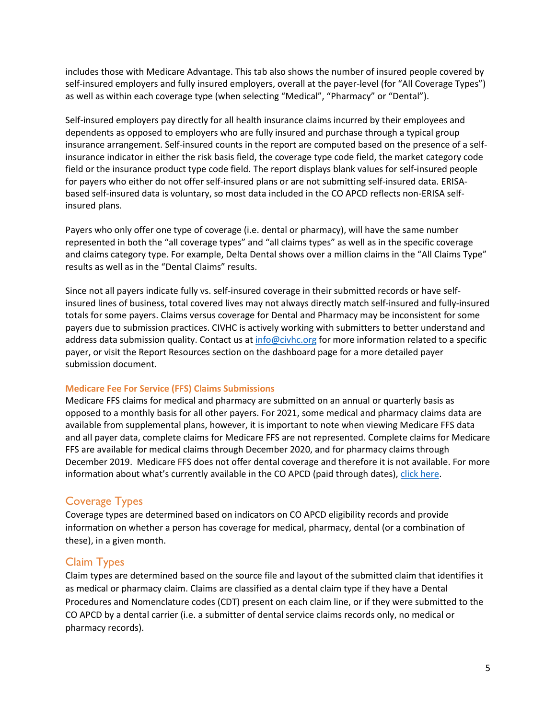includes those with Medicare Advantage. This tab also shows the number of insured people covered by self-insured employers and fully insured employers, overall at the payer-level (for "All Coverage Types") as well as within each coverage type (when selecting "Medical", "Pharmacy" or "Dental").

Self-insured employers pay directly for all health insurance claims incurred by their employees and dependents as opposed to employers who are fully insured and purchase through a typical group insurance arrangement. Self-insured counts in the report are computed based on the presence of a selfinsurance indicator in either the risk basis field, the coverage type code field, the market category code field or the insurance product type code field. The report displays blank values for self-insured people for payers who either do not offer self-insured plans or are not submitting self-insured data. ERISAbased self-insured data is voluntary, so most data included in the CO APCD reflects non-ERISA selfinsured plans.

Payers who only offer one type of coverage (i.e. dental or pharmacy), will have the same number represented in both the "all coverage types" and "all claims types" as well as in the specific coverage and claims category type. For example, Delta Dental shows over a million claims in the "All Claims Type" results as well as in the "Dental Claims" results.

Since not all payers indicate fully vs. self-insured coverage in their submitted records or have selfinsured lines of business, total covered lives may not always directly match self-insured and fully-insured totals for some payers. Claims versus coverage for Dental and Pharmacy may be inconsistent for some payers due to submission practices. CIVHC is actively working with submitters to better understand and address data submission quality. Contact us at [info@civhc.org](mailto:info@civhc.org) for more information related to a specific payer, or visit the Report Resources section on the dashboard page for a more detailed payer submission document.

#### **Medicare Fee For Service (FFS) Claims Submissions**

Medicare FFS claims for medical and pharmacy are submitted on an annual or quarterly basis as opposed to a monthly basis for all other payers. For 2021, some medical and pharmacy claims data are available from supplemental plans, however, it is important to note when viewing Medicare FFS data and all payer data, complete claims for Medicare FFS are not represented. Complete claims for Medicare FFS are available for medical claims through December 2020, and for pharmacy claims through December 2019. Medicare FFS does not offer dental coverage and therefore it is not available. For more information about what's currently available in the CO APCD (paid through dates), [click here.](https://www.civhc.org/get-data/co-apcd-overview/data-submission/)

# Coverage Types

Coverage types are determined based on indicators on CO APCD eligibility records and provide information on whether a person has coverage for medical, pharmacy, dental (or a combination of these), in a given month.

# Claim Types

Claim types are determined based on the source file and layout of the submitted claim that identifies it as medical or pharmacy claim. Claims are classified as a dental claim type if they have a Dental Procedures and Nomenclature codes (CDT) present on each claim line, or if they were submitted to the CO APCD by a dental carrier (i.e. a submitter of dental service claims records only, no medical or pharmacy records).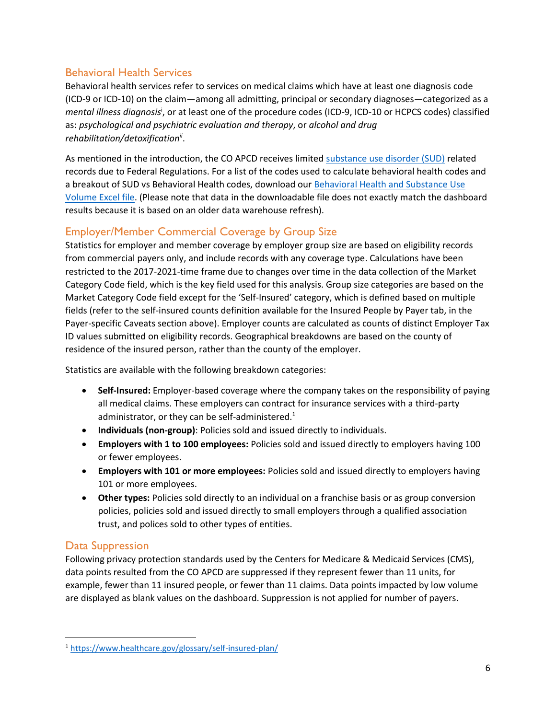### Behavioral Health Services

Behavioral health services refer to services on medical claims which have at least one diagnosis code (ICD-9 or ICD-10) on the claim—among all admitting, principal or secondary diagnoses—categorized as a mental illness diagnosis<sup>i</sup>, or at least one of the procedure codes (ICD-9, ICD-10 or HCPCS codes) classified as: *psychological and psychiatric evaluation and therapy*, or *alcohol and drug rehabilitation/detoxificationii* .

As mentioned in the introduction, the CO APCD receives limited [substance use disorder \(SUD\)](https://www.civhc.org/2019/03/21/plaintalk-blog-why-the-co-apcd-does-not-have-substance-use-disorder-claims/) related records due to Federal Regulations. For a list of the codes used to calculate behavioral health codes and a breakout of SUD vs Behavioral Health codes, download our [Behavioral Health and Substance Use](https://www.civhc.org/wp-content/uploads/2020/08/Behavioral-Health_Substance-Use-Volume-CO-APCD-8.17.2020.xlsx)  [Volume Excel file.](https://www.civhc.org/wp-content/uploads/2020/08/Behavioral-Health_Substance-Use-Volume-CO-APCD-8.17.2020.xlsx) (Please note that data in the downloadable file does not exactly match the dashboard results because it is based on an older data warehouse refresh).

# Employer/Member Commercial Coverage by Group Size

Statistics for employer and member coverage by employer group size are based on eligibility records from commercial payers only, and include records with any coverage type. Calculations have been restricted to the 2017-2021-time frame due to changes over time in the data collection of the Market Category Code field, which is the key field used for this analysis. Group size categories are based on the Market Category Code field except for the 'Self-Insured' category, which is defined based on multiple fields (refer to the self-insured counts definition available for the Insured People by Payer tab, in the Payer-specific Caveats section above). Employer counts are calculated as counts of distinct Employer Tax ID values submitted on eligibility records. Geographical breakdowns are based on the county of residence of the insured person, rather than the county of the employer.

Statistics are available with the following breakdown categories:

- **Self-Insured:** Employer-based coverage where the company takes on the responsibility of paying all medical claims. These employers can contract for insurance services with a third-party administrator, or they can be self-administered. $1$
- **Individuals (non-group)**: Policies sold and issued directly to individuals.
- **Employers with 1 to 100 employees:** Policies sold and issued directly to employers having 100 or fewer employees.
- **Employers with 101 or more employees:** Policies sold and issued directly to employers having 101 or more employees.
- **Other types:** Policies sold directly to an individual on a franchise basis or as group conversion policies, policies sold and issued directly to small employers through a qualified association trust, and polices sold to other types of entities.

# Data Suppression

 $\overline{\phantom{a}}$ 

Following privacy protection standards used by the Centers for Medicare & Medicaid Services (CMS), data points resulted from the CO APCD are suppressed if they represent fewer than 11 units, for example, fewer than 11 insured people, or fewer than 11 claims. Data points impacted by low volume are displayed as blank values on the dashboard. Suppression is not applied for number of payers.

<sup>1</sup> <https://www.healthcare.gov/glossary/self-insured-plan/>